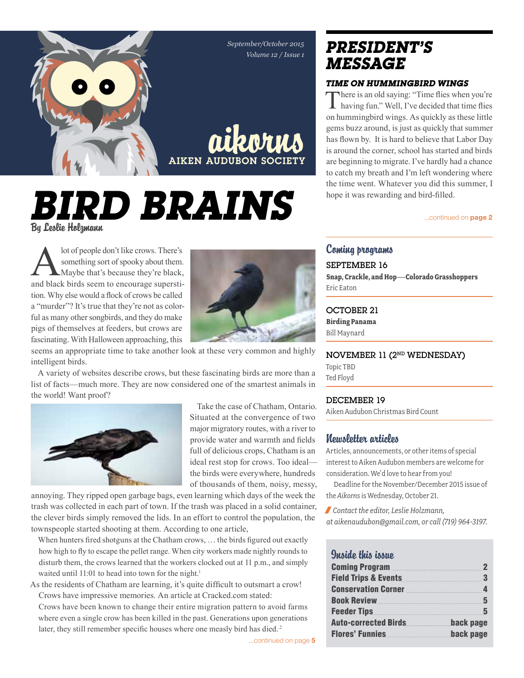

# *Bird Brains* By Leslie Holzmann

lot of people don't like crows. There's<br>something sort of spooky about them.<br>Maybe that's because they're black,<br>and black birds seem to encourage superstisomething sort of spooky about them. Maybe that's because they're black, and black birds seem to encourage superstition. Why else would a flock of crows be called a "murder"? It's true that they're not as colorful as many other songbirds, and they do make pigs of themselves at feeders, but crows are fascinating. With Halloween approaching, this



seems an appropriate time to take another look at these very common and highly intelligent birds.

A variety of websites describe crows, but these fascinating birds are more than a list of facts—much more. They are now considered one of the smartest animals in the world! Want proof?



Take the case of Chatham, Ontario. Situated at the convergence of two major migratory routes, with a river to provide water and warmth and fields full of delicious crops, Chatham is an ideal rest stop for crows. Too ideal the birds were everywhere, hundreds of thousands of them, noisy, messy,

annoying. They ripped open garbage bags, even learning which days of the week the trash was collected in each part of town. If the trash was placed in a solid container, the clever birds simply removed the lids. In an effort to control the population, the townspeople started shooting at them. According to one article,

When hunters fired shotguns at the Chatham crows, ... the birds figured out exactly how high to fly to escape the pellet range. When city workers made nightly rounds to disturb them, the crows learned that the workers clocked out at 11 p.m., and simply waited until 11:01 to head into town for the night.<sup>1</sup>

As the residents of Chatham are learning, it's quite difficult to outsmart a crow! Crows have impressive memories. An article at Cracked.com stated:

Crows have been known to change their entire migration pattern to avoid farms where even a single crow has been killed in the past. Generations upon generations later, they still remember specific houses where one measly bird has died.<sup>2</sup>

## *president's message*

#### *Time on Hummingbird Wings*

There is an old saying: "Time flies when you're  $\blacksquare$  having fun." Well, I've decided that time flies on hummingbird wings. As quickly as these little gems buzz around, is just as quickly that summer has flown by. It is hard to believe that Labor Day is around the corner, school has started and birds are beginning to migrate. I've hardly had a chance to catch my breath and I'm left wondering where the time went. Whatever you did this summer, I hope it was rewarding and bird-filled.

...continued on **page 2** 

### Coming programs

September 16 **Snap, Crackle, and Hop—Colorado Grasshoppers** Eric Eaton

OCTOBER 21 **Birding Panama** Bill Maynard

November 11 (2nd Wednesday) Topic TBD Ted Floyd

#### December 19

Aiken Audubon Christmas Bird Count

### Newsletter articles

Articles, announcements, or other items of special interest to Aiken Audubon members are welcome for consideration. We'd love to hear from you!

Deadline for the November/December 2015 issue of the *Aikorns* is Wednesday, October 21.

/ *Contact the editor, Leslie Holzmann, at aikenaudubon@gmail.com, or call (719) 964-3197.*

# Inside this issue

| <b>Flores' Funnies</b>                                      | back page |
|-------------------------------------------------------------|-----------|
| <b>Auto-corrected Birds</b>                                 | back page |
|                                                             |           |
|                                                             | -5        |
| Conservation Corner <b>Election</b> 4                       |           |
| <b>Field Trips &amp; Events.</b>                            | 3         |
| <b>Coming Program Communicate Communicate Communication</b> |           |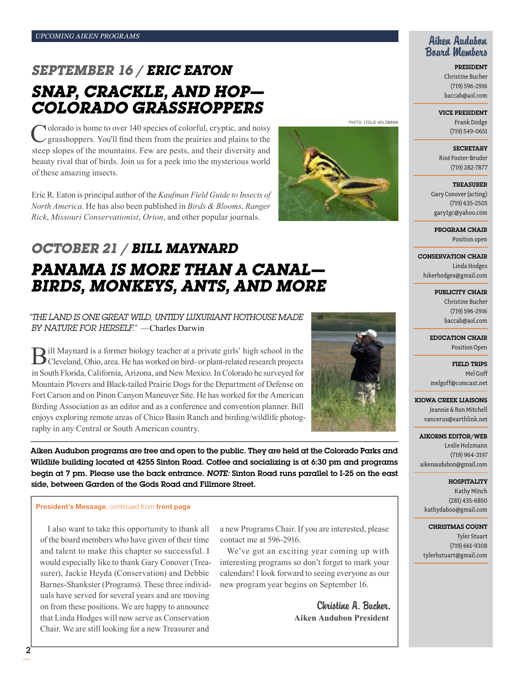## *September 16 / Eric Eaton Snap, Crackle, and Hop— Colorado Grasshoppers*

Nolorado is home to over 140 species of colorful, cryptic, and noisy grasshoppers. You'll find them from the prairies and plains to the steep slopes of the mountains. Few are pests, and their diversity and beauty rival that of birds. Join us for a peek into the mysterious world of these amazing insects.

Eric R. Eaton is principal author of the *Kaufman Field Guide to Insects of North America*. He has also been published in *Birds & Blooms*, *Ranger Rick*, *Missouri Conservationist*, *Orion*, and other popular journals.

## *october 21 / Bill Maynard Panama Is More Than A Canal— Birds, Monkeys, Ants, and More*

#### *"The land is one great wild, untidy luxuriant hothouse made by nature for herself."* —Charles Darwin

Bill Maynard is a former biology teacher at a private girls' high school in the Cleveland, Ohio, area. He has worked on bird- or plant-related research projects in South Florida, California, Arizona, and New Mexico. In Colorado he surveyed for Mountain Plovers and Black-tailed Prairie Dogs for the Department of Defense on Fort Carson and on Pinon Canyon Maneuver Site. He has worked for the American Birding Association as an editor and as a conference and convention planner. Bill enjoys exploring remote areas of Chico Basin Ranch and birding/wildlife photography in any Central or South American country.

Aiken Audubon programs are free and open to the public. They are held at the Colorado Parks and Wildlife building located at 4255 Sinton Road. Coffee and socializing is at 6:30 pm and programs begin at 7 pm. Please use the back entrance. *Note:* Sinton Road runs parallel to I-25 on the east side, between Garden of the Gods Road and Fillmore Street.

#### President's Message, continued from front page

I also want to take this opportunity to thank all of the board members who have given of their time and talent to make this chapter so successful. I would especially like to thank Gary Conover (Treasurer), Jackie Heyda (Conservation) and Debbie Barnes-Shankster (Programs). These three individuals have served for several years and are moving on from these positions. We are happy to announce that Linda Hodges will now serve as Conservation Chair. We are still looking for a new Treasurer and

a new Programs Chair. If you are interested, please contact me at 596-2916.

We've got an exciting year coming up with interesting programs so don't forget to mark your calendars! I look forward to seeing everyone as our new program year begins on September 16.

> Christine A. Bucher, **Aiken Audubon President**

#### Aiken Audubon Board Members

President Christine Bucher (719) 596-2916 baccab@aol.com

#### Vice President

Frank Dodge (719) 549-0651

**SECRETARY** Risë Foster-Bruder (719) 282-7877

**TREASURER** Gary Conover (acting) (719) 635-2505 gary1gc@yahoo.com

Program Chair Position open

Conservation Chair Linda Hodges hikerhodges@gmail.com

> Publicity Chair Christine Bucher (719) 596-2916 baccab@aol.com

Education Chair Position Open

Field Trips Mel Goff melgoff@comcast.net

Kiowa Creek Liaisons Jeannie & Ron Mitchell vancerus@earthlink.net

#### Aikorns Editor/Web Leslie Holzmann

(719) 964-3197 aikenaudubon@gmail.com

Hospitality Kathy Minch (281) 435-6850 kathydaboo@gmail.com

Christmas Count Tyler Stuart (719) 661-9308 tylerhstuart@gmail.com



2

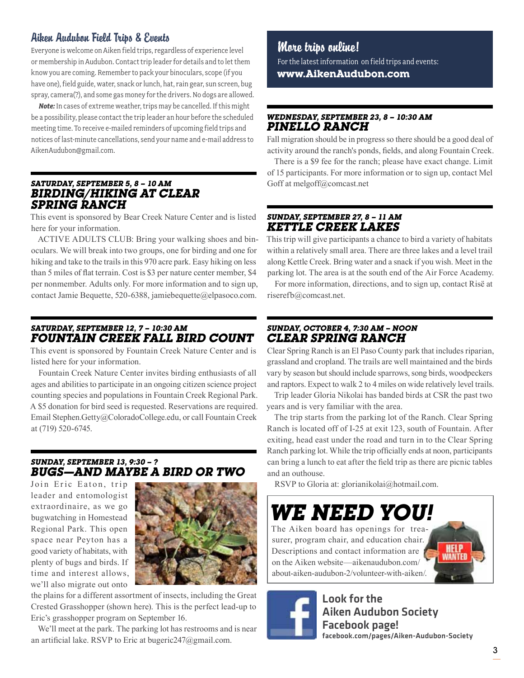### Aiken Audubon Field Trips & Events

Everyone is welcome on Aiken field trips, regardless of experience level or membership in Audubon. Contact trip leader for details and to let them know you are coming. Remember to pack your binoculars, scope (if you have one), field guide, water, snack or lunch, hat, rain gear, sun screen, bug spray, camera(?), and some gas money for the drivers. No dogs are allowed.

*Note:* In cases of extreme weather, trips may be cancelled. If this might be a possibility, please contact the trip leader an hour before the scheduled meeting time. To receive e-mailed reminders of upcoming field trips and notices of last-minute cancellations, send your name and e-mail address to AikenAudubon@gmail.com.

#### *Saturday, September 5, 8 – 10 aM BIRDING/HIKING AT CLEAR SPRING RANCH*

This event is sponsored by Bear Creek Nature Center and is listed here for your information.

ACTIVE ADULTS CLUB: Bring your walking shoes and binoculars. We will break into two groups, one for birding and one for hiking and take to the trails in this 970 acre park. Easy hiking on less than 5 miles of flat terrain. Cost is \$3 per nature center member, \$4 per nonmember. Adults only. For more information and to sign up, contact Jamie Bequette, 520-6388, jamiebequette@elpasoco.com.

### *Saturday, September 12, 7 – 10:30 am Fountain Creek Fall Bird Count*

This event is sponsored by Fountain Creek Nature Center and is listed here for your information.

Fountain Creek Nature Center invites birding enthusiasts of all ages and abilities to participate in an ongoing citizen science project counting species and populations in Fountain Creek Regional Park. A \$5 donation for bird seed is requested. Reservations are required. Email Stephen.Getty@ColoradoCollege.edu, or call Fountain Creek at (719) 520-6745.

#### *Sunday, September 13, 9:30 – ? Bugs—and Maybe a Bird or Two*

Join Eric Eaton, trip leader and entomologist extraordinaire, as we go bugwatching in Homestead Regional Park. This open space near Peyton has a good variety of habitats, with plenty of bugs and birds. If time and interest allows, we'll also migrate out onto



the plains for a different assortment of insects, including the Great Crested Grasshopper (shown here). This is the perfect lead-up to Eric's grasshopper program on September 16.

We'll meet at the park. The parking lot has restrooms and is near an artificial lake. RSVP to Eric at bugeric247@gmail.com.

### More trips online!

For the latest information on field trips and events: **www.AikenAudubon.com**

#### *Wednesday, September 23, 8 – 10:30 am Pinello Ranch*

Fall migration should be in progress so there should be a good deal of activity around the ranch's ponds, fields, and along Fountain Creek.

There is a \$9 fee for the ranch; please have exact change. Limit of 15 participants. For more information or to sign up, contact Mel Goff at melgoff@comcast.net

#### *Sunday, September 27, 8 – 11 am Kettle Creek Lakes*

This trip will give participants a chance to bird a variety of habitats within a relatively small area. There are three lakes and a level trail along Kettle Creek. Bring water and a snack if you wish. Meet in the parking lot. The area is at the south end of the Air Force Academy.

For more information, directions, and to sign up, contact Risë at riserefb@comcast.net.

#### *Sunday, October 4, 7:30 am – Noon Clear Spring Ranch*

Clear Spring Ranch is an El Paso County park that includes riparian, grassland and cropland. The trails are well maintained and the birds vary by season but should include sparrows, song birds, woodpeckers and raptors. Expect to walk 2 to 4 miles on wide relatively level trails.

Trip leader Gloria Nikolai has banded birds at CSR the past two years and is very familiar with the area.

The trip starts from the parking lot of the Ranch. Clear Spring Ranch is located off of I-25 at exit 123, south of Fountain. After exiting, head east under the road and turn in to the Clear Spring Ranch parking lot. While the trip officially ends at noon, participants can bring a lunch to eat after the field trip as there are picnic tables and an outhouse.

RSVP to Gloria at: glorianikolai@hotmail.com.

# *We Need YOU!*

The Aiken board has openings for treasurer, program chair, and education chair. Descriptions and contact information are on the Aiken website—aikenaudubon.com/ about-aiken-audubon-2/volunteer-with-aiken/.



Look for the Aiken Audubon Society Facebook page! facebook.com/pages/Aiken-Audubon-Society

3

**HELP WANTED**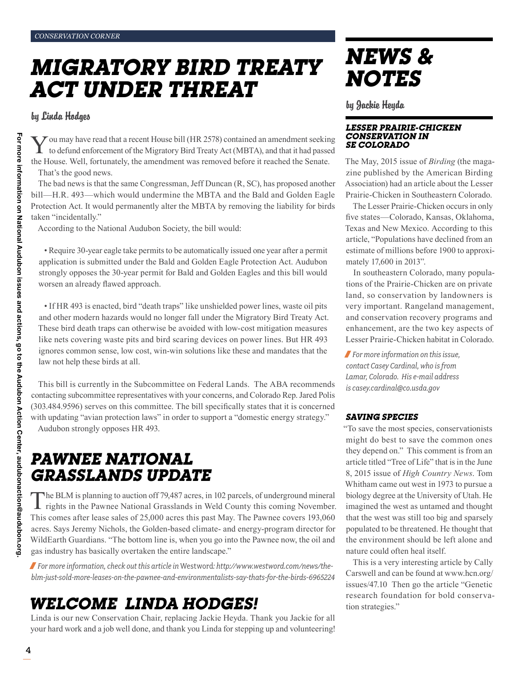# *Migratory Bird Treaty Act under threat*

#### by Linda Hodges

You may have read that a recent House bill (HR 2578) contained an amendment seeking to defund enforcement of the Migratory Bird Treaty Act (MBTA), and that it had passed the House. Well, fortunately, the amendment was removed before it reached the Senate. That's the good news.

The bad news is that the same Congressman, Jeff Duncan (R, SC), has proposed another bill—H.R. 493—which would undermine the MBTA and the Bald and Golden Eagle Protection Act. It would permanently alter the MBTA by removing the liability for birds taken "incidentally."

According to the National Audubon Society, the bill would:

• Require 30-year eagle take permits to be automatically issued one year after a permit application is submitted under the Bald and Golden Eagle Protection Act. Audubon strongly opposes the 30-year permit for Bald and Golden Eagles and this bill would worsen an already flawed approach.

• If HR 493 is enacted, bird "death traps" like unshielded power lines, waste oil pits and other modern hazards would no longer fall under the Migratory Bird Treaty Act. These bird death traps can otherwise be avoided with low-cost mitigation measures like nets covering waste pits and bird scaring devices on power lines. But HR 493 ignores common sense, low cost, win-win solutions like these and mandates that the law not help these birds at all.

This bill is currently in the Subcommittee on Federal Lands. The ABA recommends contacting subcommittee representatives with your concerns, and Colorado Rep. Jared Polis (303.484.9596) serves on this committee. The bill specifically states that it is concerned with updating "avian protection laws" in order to support a "domestic energy strategy." Audubon strongly opposes HR 493.

## *Pawnee National Grasslands update*

The BLM is planning to auction off 79,487 acres, in 102 parcels, of underground mineral **L** rights in the Pawnee National Grasslands in Weld County this coming November. This comes after lease sales of 25,000 acres this past May. The Pawnee covers 193,060 acres. Says Jeremy Nichols, the Golden-based climate- and energy-program director for WildEarth Guardians. "The bottom line is, when you go into the Pawnee now, the oil and gas industry has basically overtaken the entire landscape."

/ *For more information, check out this article in* Westword*: http://www.westword.com/news/theblm-just-sold-more-leases-on-the-pawnee-and-environmentalists-say-thats-for-the-birds-6965224*

## *Welcome Linda Hodges!*

Linda is our new Conservation Chair, replacing Jackie Heyda. Thank you Jackie for all your hard work and a job well done, and thank you Linda for stepping up and volunteering!

# *News & Notes*

by Jackie Heyda

#### *Lesser Prairie-Chicken Conservation in Se Colorado*

The May, 2015 issue of *Birding* (the magazine published by the American Birding Association) had an article about the Lesser Prairie-Chicken in Southeastern Colorado.

The Lesser Prairie-Chicken occurs in only five states—Colorado, Kansas, Oklahoma, Texas and New Mexico. According to this article, "Populations have declined from an estimate of millions before 1900 to approximately 17,600 in 2013".

In southeastern Colorado, many populations of the Prairie-Chicken are on private land, so conservation by landowners is very important. Rangeland management, and conservation recovery programs and enhancement, are the two key aspects of Lesser Prairie-Chicken habitat in Colorado.

/ *For more information on this issue, contact Casey Cardinal, who is from Lamar, Colorado. His e-mail address is casey.cardinal@co.usda.gov*

#### *Saving Species*

"To save the most species, conservationists might do best to save the common ones they depend on." This comment is from an article titled "Tree of Life" that is in the June 8, 2015 issue of *High Country News*. Tom Whitham came out west in 1973 to pursue a biology degree at the University of Utah. He imagined the west as untamed and thought that the west was still too big and sparsely populated to be threatened. He thought that the environment should be left alone and nature could often heal itself.

This is a very interesting article by Cally Carswell and can be found at www.hcn.org/ issues/47.10 Then go the article "Genetic research foundation for bold conservation strategies."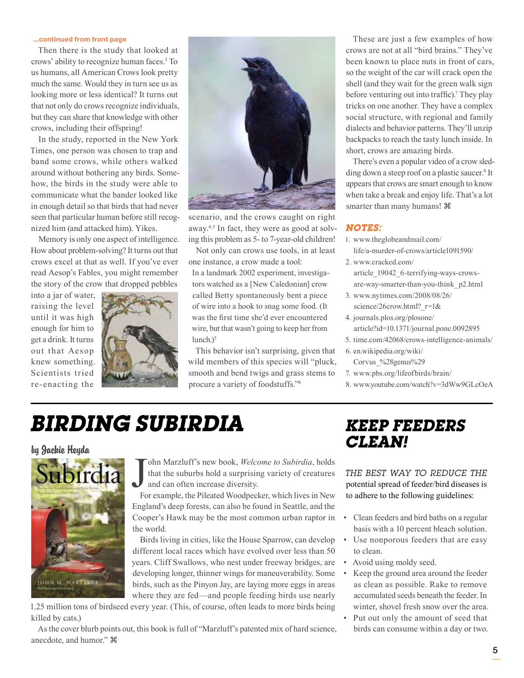#### ...continued from front page

Then there is the study that looked at crows' ability to recognize human faces.3 To us humans, all American Crows look pretty much the same. Would they in turn see us as looking more or less identical? It turns out that not only do crows recognize individuals, but they can share that knowledge with other crows, including their offspring!

In the study, reported in the New York Times, one person was chosen to trap and band some crows, while others walked around without bothering any birds. Somehow, the birds in the study were able to communicate what the bander looked like in enough detail so that birds that had never seen that particular human before still recognized him (and attacked him). Yikes.

Memory is only one aspect of intelligence. How about problem-solving? It turns out that crows excel at that as well. If you've ever read Aesop's Fables, you might remember the story of the crow that dropped pebbles

into a jar of water, raising the level until it was high enough for him to get a drink. It turns out that Aesop knew something. Scientists tried re-enacting the





scenario, and the crows caught on right away.4,5 In fact, they were as good at solving this problem as 5- to 7-year-old children!

Not only can crows use tools, in at least one instance, a crow made a tool:

In a landmark 2002 experiment, investigators watched as a [New Caledonian] crow called Betty spontaneously bent a piece of wire into a hook to snag some food. (It was the first time she'd ever encountered wire, but that wasn't going to keep her from  $lunch.$ <sup>5</sup>

This behavior isn't surprising, given that wild members of this species will "pluck, smooth and bend twigs and grass stems to procure a variety of foodstuffs."6

These are just a few examples of how crows are not at all "bird brains." They've been known to place nuts in front of cars, so the weight of the car will crack open the shell (and they wait for the green walk sign before venturing out into traffic).<sup>7</sup> They play tricks on one another. They have a complex social structure, with regional and family dialects and behavior patterns. They'll unzip backpacks to reach the tasty lunch inside. In short, crows are amazing birds.

There's even a popular video of a crow sledding down a steep roof on a plastic saucer.<sup>8</sup> It appears that crows are smart enough to know when take a break and enjoy life. That's a lot smarter than many humans!

#### *Notes:*

- 1. www.theglobeandmail.com/ life/a-murder-of-crows/article1091590/
- 2. www.cracked.com/ article\_19042\_6-terrifying-ways-crowsare-way-smarter-than-you-think\_p2.html
- 3. www.nytimes.com/2008/08/26/ science/26crow.html? r=1&
- 4. journals.plos.org/plosone/ article?id=10.1371/journal.pone.0092895
- 5. time.com/42068/crows-intelligence-animals/
- 6. en.wikipedia.org/wiki/ Corvus\_%28genus%29
- 7. www.pbs.org/lifeofbirds/brain/
- 8. www.youtube.com/watch?v=3dWw9GLcOeA

# *Birding Subirdia*

#### by Jackie Heyda



J<sub>Fo</sub> ohn Marzluff's new book, *Welcome to Subirdia*, holds that the suburbs hold a surprising variety of creatures and can often increase diversity.

For example, the Pileated Woodpecker, which lives in New England's deep forests, can also be found in Seattle, and the Cooper's Hawk may be the most common urban raptor in the world.

Birds living in cities, like the House Sparrow, can develop different local races which have evolved over less than 50 years. Cliff Swallows, who nest under freeway bridges, are developing longer, thinner wings for maneuverability. Some birds, such as the Pinyon Jay, are laying more eggs in areas where they are fed—and people feeding birds use nearly

1.25 million tons of birdseed every year. (This, of course, often leads to more birds being killed by cats.)

As the cover blurb points out, this book is full of "Marzluff's patented mix of hard science, anecdote, and humor."

### *Keep Feeders Clean!*

*The best way to reduce the*  potential spread of feeder/bird diseases is to adhere to the following guidelines:

- Clean feeders and bird baths on a regular basis with a 10 percent bleach solution.
- Use nonporous feeders that are easy to clean.
- Avoid using moldy seed.
- Keep the ground area around the feeder as clean as possible. Rake to remove accumulated seeds beneath the feeder. In winter, shovel fresh snow over the area.
- Put out only the amount of seed that birds can consume within a day or two.